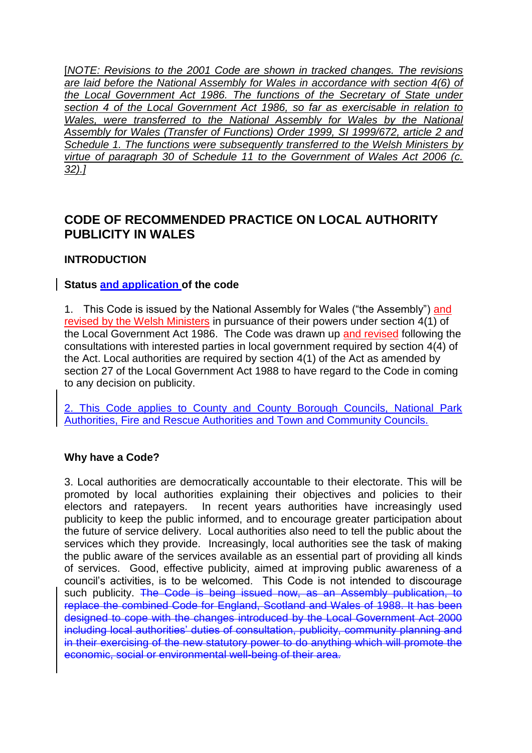[*NOTE: Revisions to the 2001 Code are shown in tracked changes. The revisions are laid before the National Assembly for Wales in accordance with section 4(6) of the Local Government Act 1986. The functions of the Secretary of State under section 4 of the Local Government Act 1986, so far as exercisable in relation to Wales, were transferred to the National Assembly for Wales by the National Assembly for Wales (Transfer of Functions) Order 1999, SI 1999/672, article 2 and Schedule 1. The functions were subsequently transferred to the Welsh Ministers by virtue of paragraph 30 of Schedule 11 to the Government of Wales Act 2006 (c. 32).]*

# **CODE OF RECOMMENDED PRACTICE ON LOCAL AUTHORITY PUBLICITY IN WALES**

## **INTRODUCTION**

#### **Status and application of the code**

1. This Code is issued by the National Assembly for Wales ("the Assembly") and revised by the Welsh Ministers in pursuance of their powers under section 4(1) of the Local Government Act 1986. The Code was drawn up and revised following the consultations with interested parties in local government required by section 4(4) of the Act. Local authorities are required by section 4(1) of the Act as amended by section 27 of the Local Government Act 1988 to have regard to the Code in coming to any decision on publicity.

2. This Code applies to County and County Borough Councils, National Park Authorities, Fire and Rescue Authorities and Town and Community Councils.

#### **Why have a Code?**

3. Local authorities are democratically accountable to their electorate. This will be promoted by local authorities explaining their objectives and policies to their electors and ratepayers. In recent years authorities have increasingly used publicity to keep the public informed, and to encourage greater participation about the future of service delivery. Local authorities also need to tell the public about the services which they provide. Increasingly, local authorities see the task of making the public aware of the services available as an essential part of providing all kinds of services. Good, effective publicity, aimed at improving public awareness of a council"s activities, is to be welcomed. This Code is not intended to discourage such publicity. The Code is being issued now, as an Assembly publication, to replace the combined Code for England, Scotland and Wales of 1988. It has been designed to cope with the changes introduced by the Local Government Act 2000 including local authorities' duties of consultation, publicity, community planning and in their exercising of the new statutory power to do anything which will promote the economic, social or environmental well-being of their area.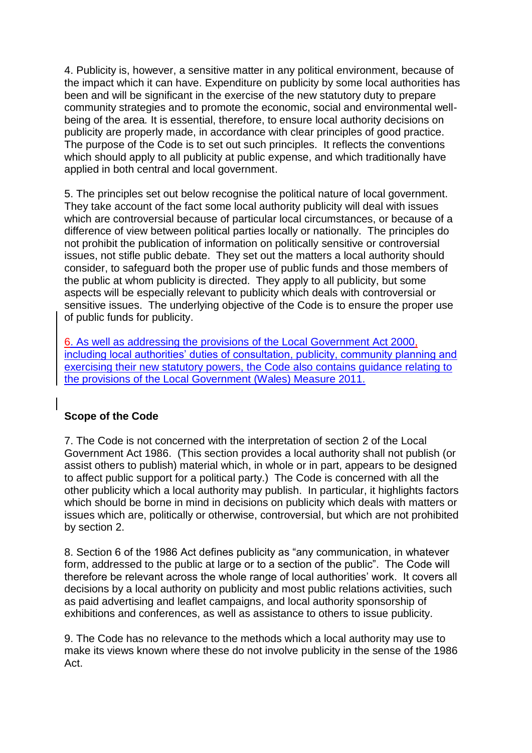4. Publicity is, however, a sensitive matter in any political environment, because of the impact which it can have. Expenditure on publicity by some local authorities has been and will be significant in the exercise of the new statutory duty to prepare community strategies and to promote the economic, social and environmental wellbeing of the area*.* It is essential, therefore, to ensure local authority decisions on publicity are properly made, in accordance with clear principles of good practice. The purpose of the Code is to set out such principles. It reflects the conventions which should apply to all publicity at public expense, and which traditionally have applied in both central and local government.

5. The principles set out below recognise the political nature of local government. They take account of the fact some local authority publicity will deal with issues which are controversial because of particular local circumstances, or because of a difference of view between political parties locally or nationally. The principles do not prohibit the publication of information on politically sensitive or controversial issues, not stifle public debate. They set out the matters a local authority should consider, to safeguard both the proper use of public funds and those members of the public at whom publicity is directed. They apply to all publicity, but some aspects will be especially relevant to publicity which deals with controversial or sensitive issues. The underlying objective of the Code is to ensure the proper use of public funds for publicity.

6. As well as addressing the provisions of the Local Government Act 2000, including local authorities' duties of consultation, publicity, community planning and exercising their new statutory powers, the Code also contains guidance relating to the provisions of the Local Government (Wales) Measure 2011.

# **Scope of the Code**

7. The Code is not concerned with the interpretation of section 2 of the Local Government Act 1986. (This section provides a local authority shall not publish (or assist others to publish) material which, in whole or in part, appears to be designed to affect public support for a political party.) The Code is concerned with all the other publicity which a local authority may publish. In particular, it highlights factors which should be borne in mind in decisions on publicity which deals with matters or issues which are, politically or otherwise, controversial, but which are not prohibited by section 2.

8. Section 6 of the 1986 Act defines publicity as "any communication, in whatever form, addressed to the public at large or to a section of the public". The Code will therefore be relevant across the whole range of local authorities" work. It covers all decisions by a local authority on publicity and most public relations activities, such as paid advertising and leaflet campaigns, and local authority sponsorship of exhibitions and conferences, as well as assistance to others to issue publicity.

9. The Code has no relevance to the methods which a local authority may use to make its views known where these do not involve publicity in the sense of the 1986 Act.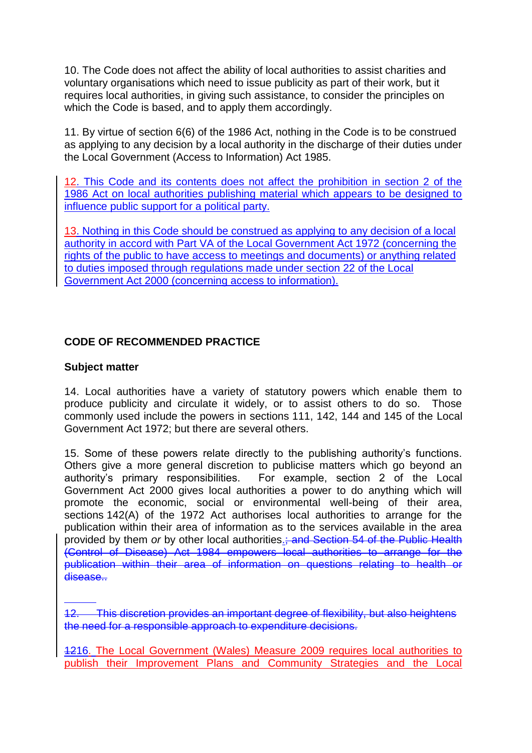10. The Code does not affect the ability of local authorities to assist charities and voluntary organisations which need to issue publicity as part of their work, but it requires local authorities, in giving such assistance, to consider the principles on which the Code is based, and to apply them accordingly.

11. By virtue of section 6(6) of the 1986 Act, nothing in the Code is to be construed as applying to any decision by a local authority in the discharge of their duties under the Local Government (Access to Information) Act 1985.

12. This Code and its contents does not affect the prohibition in section 2 of the 1986 Act on local authorities publishing material which appears to be designed to influence public support for a political party.

13. Nothing in this Code should be construed as applying to any decision of a local authority in accord with Part VA of the Local Government Act 1972 (concerning the rights of the public to have access to meetings and documents) or anything related to duties imposed through regulations made under section 22 of the Local Government Act 2000 (concerning access to information).

## **CODE OF RECOMMENDED PRACTICE**

#### **Subject matter**

14. Local authorities have a variety of statutory powers which enable them to produce publicity and circulate it widely, or to assist others to do so. Those commonly used include the powers in sections 111, 142, 144 and 145 of the Local Government Act 1972; but there are several others.

15. Some of these powers relate directly to the publishing authority"s functions. Others give a more general discretion to publicise matters which go beyond an authority"s primary responsibilities. For example, section 2 of the Local Government Act 2000 gives local authorities a power to do anything which will promote the economic, social or environmental well-being of their area, sections 142(A) of the 1972 Act authorises local authorities to arrange for the publication within their area of information as to the services available in the area provided by them *or* by other local authorities.; and Section 54 of the Public Health (Control of Disease) Act 1984 empowers local authorities to arrange for the publication within their area of information on questions relating to health or disease...

12. This discretion provides an important degree of flexibility, but also heightens the need for a responsible approach to expenditure decisions.

1216. The Local Government (Wales) Measure 2009 requires local authorities to publish their Improvement Plans and Community Strategies and the Local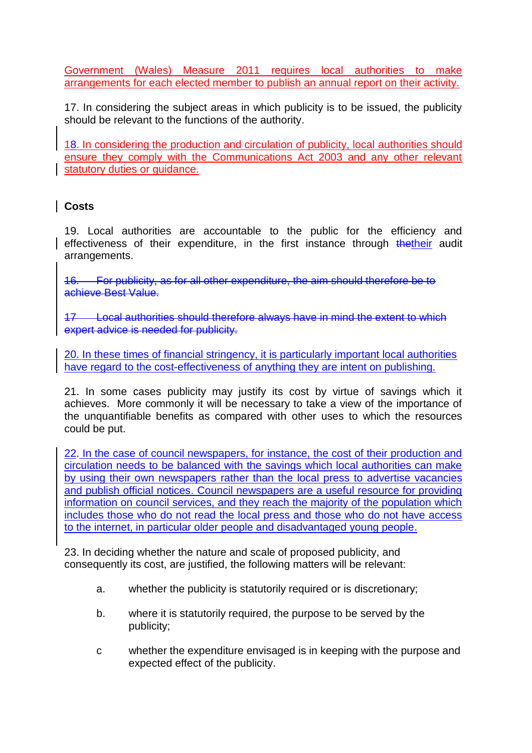Government (Wales) Measure 2011 requires local authorities to make arrangements for each elected member to publish an annual report on their activity.

17. In considering the subject areas in which publicity is to be issued, the publicity should be relevant to the functions of the authority.

18. In considering the production and circulation of publicity, local authorities should ensure they comply with the Communications Act 2003 and any other relevant statutory duties or guidance.

# **Costs**

19. Local authorities are accountable to the public for the efficiency and effectiveness of their expenditure, in the first instance through thetheir audit arrangements.

16. For publicity, as for all other expenditure, the aim should therefore be to achieve Best Value.

17 Local authorities should therefore always have in mind the extent to which expert advice is needed for publicity.

20. In these times of financial stringency, it is particularly important local authorities have regard to the cost-effectiveness of anything they are intent on publishing.

21. In some cases publicity may justify its cost by virtue of savings which it achieves. More commonly it will be necessary to take a view of the importance of the unquantifiable benefits as compared with other uses to which the resources could be put.

22. In the case of council newspapers, for instance, the cost of their production and circulation needs to be balanced with the savings which local authorities can make by using their own newspapers rather than the local press to advertise vacancies and publish official notices. Council newspapers are a useful resource for providing information on council services, and they reach the majority of the population which includes those who do not read the local press and those who do not have access to the internet, in particular older people and disadvantaged young people.

23. In deciding whether the nature and scale of proposed publicity, and consequently its cost, are justified, the following matters will be relevant:

- a. whether the publicity is statutorily required or is discretionary;
- b. where it is statutorily required, the purpose to be served by the publicity;
- c whether the expenditure envisaged is in keeping with the purpose and expected effect of the publicity.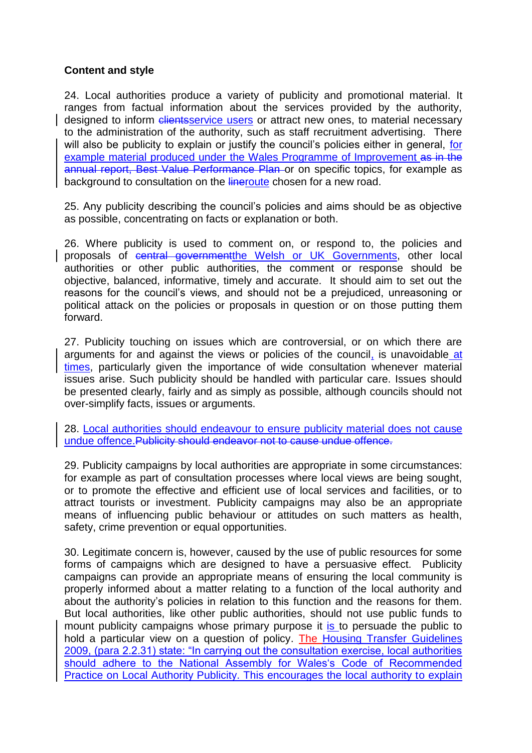## **Content and style**

24. Local authorities produce a variety of publicity and promotional material. It ranges from factual information about the services provided by the authority, designed to inform clientsservice users or attract new ones, to material necessary to the administration of the authority, such as staff recruitment advertising. There will also be publicity to explain or justify the council's policies either in general, for example material produced under the Wales Programme of Improvement as in the annual report, Best Value Performance Plan or on specific topics, for example as background to consultation on the lineroute chosen for a new road.

25. Any publicity describing the council"s policies and aims should be as objective as possible, concentrating on facts or explanation or both.

26. Where publicity is used to comment on, or respond to, the policies and proposals of central governmentthe Welsh or UK Governments, other local authorities or other public authorities, the comment or response should be objective, balanced, informative, timely and accurate. It should aim to set out the reasons for the council"s views, and should not be a prejudiced, unreasoning or political attack on the policies or proposals in question or on those putting them forward.

27. Publicity touching on issues which are controversial, or on which there are arguments for and against the views or policies of the council, is unavoidable at times, particularly given the importance of wide consultation whenever material issues arise. Such publicity should be handled with particular care. Issues should be presented clearly, fairly and as simply as possible, although councils should not over-simplify facts, issues or arguments.

28. Local authorities should endeavour to ensure publicity material does not cause undue offence.Publicity should endeavor not to cause undue offence.

29. Publicity campaigns by local authorities are appropriate in some circumstances: for example as part of consultation processes where local views are being sought, or to promote the effective and efficient use of local services and facilities, or to attract tourists or investment. Publicity campaigns may also be an appropriate means of influencing public behaviour or attitudes on such matters as health, safety, crime prevention or equal opportunities.

30. Legitimate concern is, however, caused by the use of public resources for some forms of campaigns which are designed to have a persuasive effect. Publicity campaigns can provide an appropriate means of ensuring the local community is properly informed about a matter relating to a function of the local authority and about the authority"s policies in relation to this function and the reasons for them. But local authorities, like other public authorities, should not use public funds to mount publicity campaigns whose primary purpose it is to persuade the public to hold a particular view on a question of policy. The Housing Transfer Guidelines 2009, (para 2.2.31) state: "In carrying out the consultation exercise, local authorities should adhere to the National Assembly for Wales's Code of Recommended Practice on Local Authority Publicity. This encourages the local authority to explain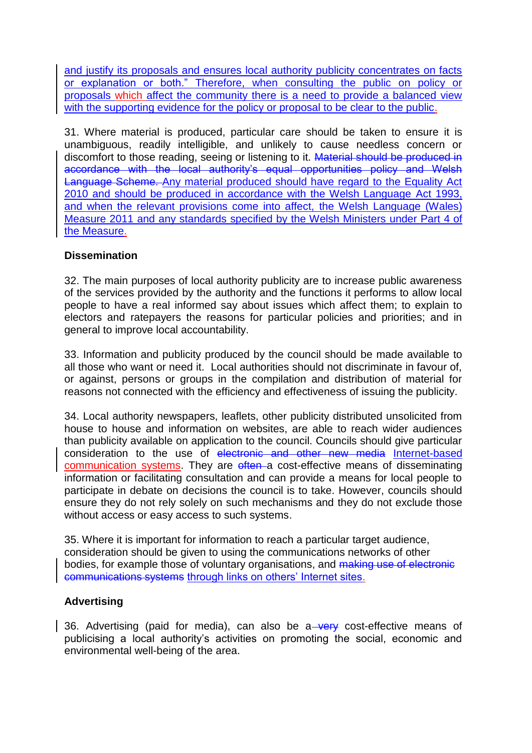and justify its proposals and ensures local authority publicity concentrates on facts or explanation or both." Therefore, when consulting the public on policy or proposals which affect the community there is a need to provide a balanced view with the supporting evidence for the policy or proposal to be clear to the public.

31. Where material is produced, particular care should be taken to ensure it is unambiguous, readily intelligible, and unlikely to cause needless concern or discomfort to those reading, seeing or listening to it. Material should be produced in accordance with the local authority"s equal opportunities policy and Welsh Language Scheme. Any material produced should have regard to the Equality Act 2010 and should be produced in accordance with the Welsh Language Act 1993, and when the relevant provisions come into affect, the Welsh Language (Wales) Measure 2011 and any standards specified by the Welsh Ministers under Part 4 of the Measure.

#### **Dissemination**

32. The main purposes of local authority publicity are to increase public awareness of the services provided by the authority and the functions it performs to allow local people to have a real informed say about issues which affect them; to explain to electors and ratepayers the reasons for particular policies and priorities; and in general to improve local accountability.

33. Information and publicity produced by the council should be made available to all those who want or need it. Local authorities should not discriminate in favour of, or against, persons or groups in the compilation and distribution of material for reasons not connected with the efficiency and effectiveness of issuing the publicity.

34. Local authority newspapers, leaflets, other publicity distributed unsolicited from house to house and information on websites, are able to reach wider audiences than publicity available on application to the council. Councils should give particular consideration to the use of electronic and other new media Internet-based communication systems. They are often a cost-effective means of disseminating information or facilitating consultation and can provide a means for local people to participate in debate on decisions the council is to take. However, councils should ensure they do not rely solely on such mechanisms and they do not exclude those without access or easy access to such systems.

35. Where it is important for information to reach a particular target audience, consideration should be given to using the communications networks of other bodies, for example those of voluntary organisations, and making use of electronic communications systems through links on others' Internet sites.

# **Advertising**

36. Advertising (paid for media), can also be a very cost-effective means of publicising a local authority"s activities on promoting the social, economic and environmental well-being of the area.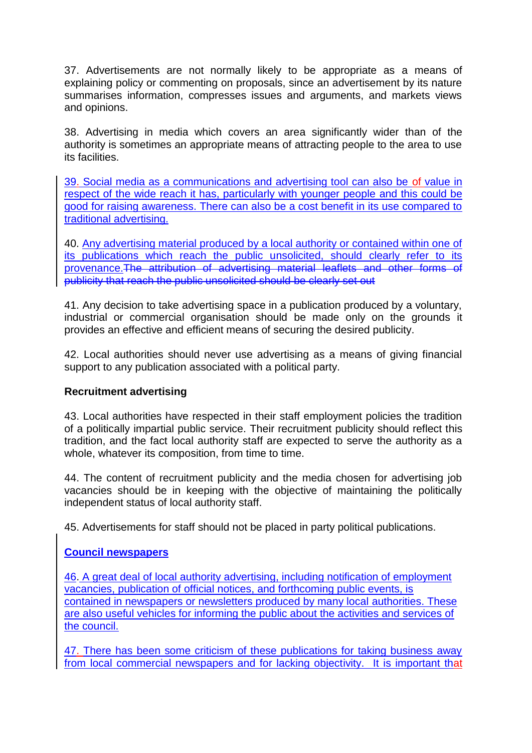37. Advertisements are not normally likely to be appropriate as a means of explaining policy or commenting on proposals, since an advertisement by its nature summarises information, compresses issues and arguments, and markets views and opinions.

38. Advertising in media which covers an area significantly wider than of the authority is sometimes an appropriate means of attracting people to the area to use its facilities.

39. Social media as a communications and advertising tool can also be of value in respect of the wide reach it has, particularly with younger people and this could be good for raising awareness. There can also be a cost benefit in its use compared to traditional advertising.

40. Any advertising material produced by a local authority or contained within one of its publications which reach the public unsolicited, should clearly refer to its provenance.The attribution of advertising material leaflets and other forms of publicity that reach the public unsolicited should be clearly set out

41. Any decision to take advertising space in a publication produced by a voluntary, industrial or commercial organisation should be made only on the grounds it provides an effective and efficient means of securing the desired publicity.

42. Local authorities should never use advertising as a means of giving financial support to any publication associated with a political party.

#### **Recruitment advertising**

43. Local authorities have respected in their staff employment policies the tradition of a politically impartial public service. Their recruitment publicity should reflect this tradition, and the fact local authority staff are expected to serve the authority as a whole, whatever its composition, from time to time.

44. The content of recruitment publicity and the media chosen for advertising job vacancies should be in keeping with the objective of maintaining the politically independent status of local authority staff.

45. Advertisements for staff should not be placed in party political publications.

# **Council newspapers**

46. A great deal of local authority advertising, including notification of employment vacancies, publication of official notices, and forthcoming public events, is contained in newspapers or newsletters produced by many local authorities. These are also useful vehicles for informing the public about the activities and services of the council.

47. There has been some criticism of these publications for taking business away from local commercial newspapers and for lacking objectivity. It is important that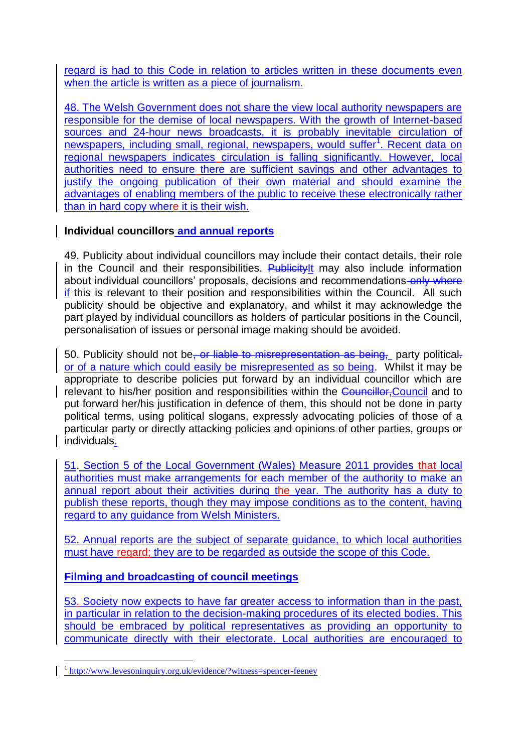regard is had to this Code in relation to articles written in these documents even when the article is written as a piece of journalism.

48. The Welsh Government does not share the view local authority newspapers are responsible for the demise of local newspapers. With the growth of Internet-based sources and 24-hour news broadcasts, it is probably inevitable circulation of newspapers, including small, regional, newspapers, would suffer<sup>1</sup>. Recent data on regional newspapers indicates circulation is falling significantly. However, local authorities need to ensure there are sufficient savings and other advantages to justify the ongoing publication of their own material and should examine the advantages of enabling members of the public to receive these electronically rather than in hard copy where it is their wish.

# **Individual councillors and annual reports**

49. Publicity about individual councillors may include their contact details, their role in the Council and their responsibilities. PublicityIt may also include information about individual councillors' proposals, decisions and recommendations-only where if this is relevant to their position and responsibilities within the Council. All such publicity should be objective and explanatory, and whilst it may acknowledge the part played by individual councillors as holders of particular positions in the Council, personalisation of issues or personal image making should be avoided.

50. Publicity should not be, or liable to misrepresentation as being, party political. or of a nature which could easily be misrepresented as so being. Whilst it may be appropriate to describe policies put forward by an individual councillor which are relevant to his/her position and responsibilities within the Councillor, Council and to put forward her/his justification in defence of them, this should not be done in party political terms, using political slogans, expressly advocating policies of those of a particular party or directly attacking policies and opinions of other parties, groups or individuals.

51. Section 5 of the Local Government (Wales) Measure 2011 provides that local authorities must make arrangements for each member of the authority to make an annual report about their activities during the year. The authority has a duty to publish these reports, though they may impose conditions as to the content, having regard to any guidance from Welsh Ministers.

52. Annual reports are the subject of separate guidance, to which local authorities must have regard; they are to be regarded as outside the scope of this Code.

# **Filming and broadcasting of council meetings**

53. Society now expects to have far greater access to information than in the past, in particular in relation to the decision-making procedures of its elected bodies. This should be embraced by political representatives as providing an opportunity to communicate directly with their electorate. Local authorities are encouraged to

1

<sup>&</sup>lt;sup>1</sup>http://www.levesoninquiry.org.uk/evidence/?witness=spencer-feeney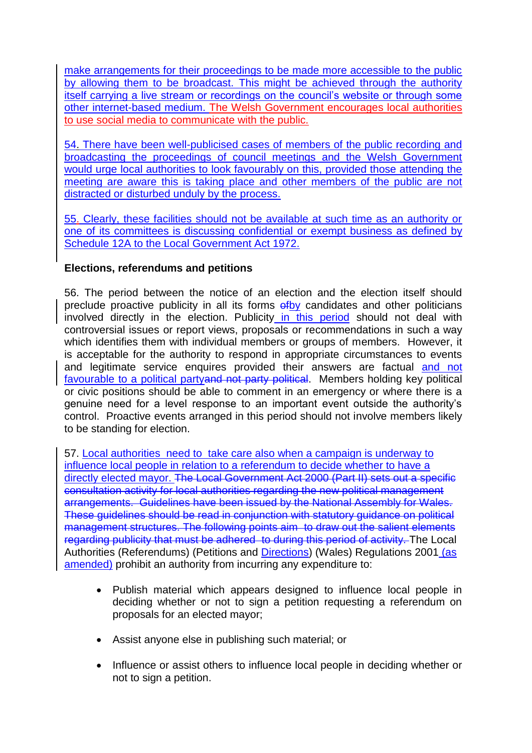make arrangements for their proceedings to be made more accessible to the public by allowing them to be broadcast. This might be achieved through the authority itself carrying a live stream or recordings on the council's website or through some other internet-based medium. The Welsh Government encourages local authorities to use social media to communicate with the public.

54. There have been well-publicised cases of members of the public recording and broadcasting the proceedings of council meetings and the Welsh Government would urge local authorities to look favourably on this, provided those attending the meeting are aware this is taking place and other members of the public are not distracted or disturbed unduly by the process.

55. Clearly, these facilities should not be available at such time as an authority or one of its committees is discussing confidential or exempt business as defined by Schedule 12A to the Local Government Act 1972.

## **Elections, referendums and petitions**

56. The period between the notice of an election and the election itself should preclude proactive publicity in all its forms of by candidates and other politicians involved directly in the election. Publicity in this period should not deal with controversial issues or report views, proposals or recommendations in such a way which identifies them with individual members or groups of members. However, it is acceptable for the authority to respond in appropriate circumstances to events and legitimate service enquires provided their answers are factual and not favourable to a political partyand not party political. Members holding key political or civic positions should be able to comment in an emergency or where there is a genuine need for a level response to an important event outside the authority"s control. Proactive events arranged in this period should not involve members likely to be standing for election.

57. Local authorities need to take care also when a campaign is underway to influence local people in relation to a referendum to decide whether to have a directly elected mayor. The Local Government Act 2000 (Part II) sets out a specific consultation activity for local authorities regarding the new political management arrangements. Guidelines have been issued by the National Assembly for Wales. These guidelines should be read in conjunction with statutory guidance on political management structures. The following points aim to draw out the salient elements regarding publicity that must be adhered to during this period of activity. The Local Authorities (Referendums) (Petitions and Directions) (Wales) Regulations 2001 (as amended) prohibit an authority from incurring any expenditure to:

- Publish material which appears designed to influence local people in deciding whether or not to sign a petition requesting a referendum on proposals for an elected mayor;
- Assist anyone else in publishing such material; or
- Influence or assist others to influence local people in deciding whether or not to sign a petition.